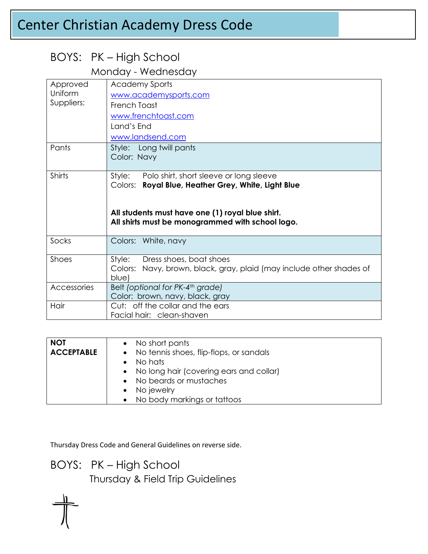# Center Christian Academy Dress Code

## BOYS: PK – High School

#### Monday - Wednesday

| Approved<br>Uniform<br>Suppliers: | <b>Academy Sports</b><br>www.academysports.com<br>French Toast<br>www.frenchtoast.com<br>Land's End<br>www.landsend.com                                                                                          |
|-----------------------------------|------------------------------------------------------------------------------------------------------------------------------------------------------------------------------------------------------------------|
| Pants                             | Style: Long twill pants<br>Color: Navy                                                                                                                                                                           |
| Shirts                            | Style: Polo shirt, short sleeve or long sleeve<br>Royal Blue, Heather Grey, White, Light Blue<br>Colors:<br>All students must have one (1) royal blue shirt.<br>All shirts must be monogrammed with school logo. |
| Socks                             | Colors: White, navy                                                                                                                                                                                              |
| Shoes                             | Style: Dress shoes, boat shoes<br>Colors: Navy, brown, black, gray, plaid (may include other shades of<br>blue)                                                                                                  |
| Accessories                       | Belt (optional for PK-4 <sup>th</sup> grade)<br>Color: brown, navy, black, gray                                                                                                                                  |
| Hair                              | Cut: off the collar and the ears<br>Facial hair: clean-shaven                                                                                                                                                    |

| <b>NOT</b><br><b>ACCEPTABLE</b> | • No short pants<br>• No tennis shoes, flip-flops, or sandals<br>No hats<br>• No long hair (covering ears and collar)<br>• No beards or mustaches<br>• No jewelry |
|---------------------------------|-------------------------------------------------------------------------------------------------------------------------------------------------------------------|
|                                 | • No body markings or tattoos                                                                                                                                     |

Thursday Dress Code and General Guidelines on reverse side.

BOYS: PK – High School

Thursday & Field Trip Guidelines